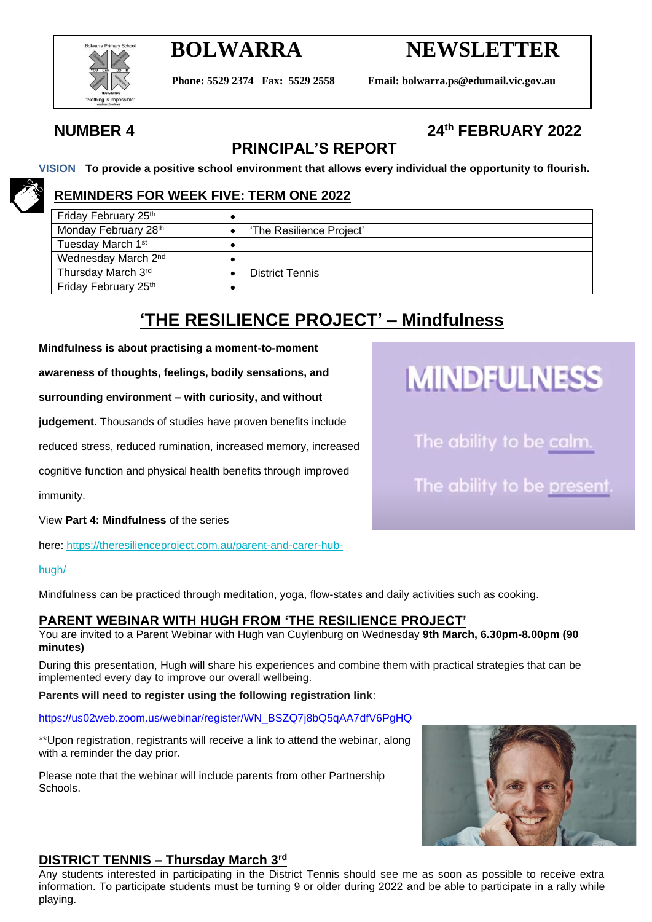

# **BOLWARRA NEWSLETTER**

**Phone: 5529 2374 Fax: 5529 2558 Email: bolwarra.ps@edumail.vic.gov.au**

## **NUMBER 4 24th FEBRUARY 2022**

## **PRINCIPAL'S REPORT**

**VISION To provide a positive school environment that allows every individual the opportunity to flourish.**

#### **REMINDERS FOR WEEK FIVE: TERM ONE 2022**

| Friday February 25th            |                          |  |
|---------------------------------|--------------------------|--|
| Monday February 28th            | 'The Resilience Project' |  |
| Tuesday March 1st               |                          |  |
| Wednesday March 2 <sup>nd</sup> |                          |  |
| Thursday March 3rd              | <b>District Tennis</b>   |  |
| Friday February 25th            |                          |  |

## **'THE RESILIENCE PROJECT' – Mindfulness**

**Mindfulness is about practising a moment-to-moment** 

**awareness of thoughts, feelings, bodily sensations, and** 

**surrounding environment – with curiosity, and without** 

**judgement.** Thousands of studies have proven benefits include

reduced stress, reduced rumination, increased memory, increased

cognitive function and physical health benefits through improved

immunity.

View **Part 4: Mindfulness** of the series

here: [https://theresilienceproject.com.au/parent-and-carer-hub-](https://theresilienceproject.com.au/parent-and-carer-hub-hugh/)

#### [hugh/](https://theresilienceproject.com.au/parent-and-carer-hub-hugh/)

Mindfulness can be practiced through meditation, yoga, flow-states and daily activities such as cooking.

#### **PARENT WEBINAR WITH HUGH FROM 'THE RESILIENCE PROJECT'**

You are invited to a Parent Webinar with Hugh van Cuylenburg on Wednesday **9th March, 6.30pm-8.00pm (90 minutes)**

During this presentation, Hugh will share his experiences and combine them with practical strategies that can be implemented every day to improve our overall wellbeing.

#### **Parents will need to register using the following registration link**:

[https://us02web.zoom.us/webinar/register/WN\\_BSZQ7j8bQ5qAA7dfV6PgHQ](https://aus01.safelinks.protection.outlook.com/?url=https%3A%2F%2Fe0f544fe0965ce77f23b6380b1be1f14.tinyemails.com%2F999c5778e9a507834cf541acd990cc33%2F401b006017f676aa95a5ad4342c5c25f.html&data=04%7C01%7Clee.gibbons%40education.vic.gov.au%7C4da318274ac64c8ce97808d9f1a704bf%7Cd96cb3371a8744cfb69b3cec334a4c1f%7C0%7C0%7C637806522294811964%7CUnknown%7CTWFpbGZsb3d8eyJWIjoiMC4wLjAwMDAiLCJQIjoiV2luMzIiLCJBTiI6Ik1haWwiLCJXVCI6Mn0%3D%7C3000&sdata=hQJA%2B8fTkTwIigyUK3OVVkzo4xcqG4ejV4ffCOrA9cE%3D&reserved=0)

\*\*Upon registration, registrants will receive a link to attend the webinar, along with a reminder the day prior.

Please note that the webinar will include parents from other Partnership Schools.



#### **DISTRICT TENNIS – Thursday March 3rd**

Any students interested in participating in the District Tennis should see me as soon as possible to receive extra information. To participate students must be turning 9 or older during 2022 and be able to participate in a rally while playing.



The ability to be calm.

The ability to be present.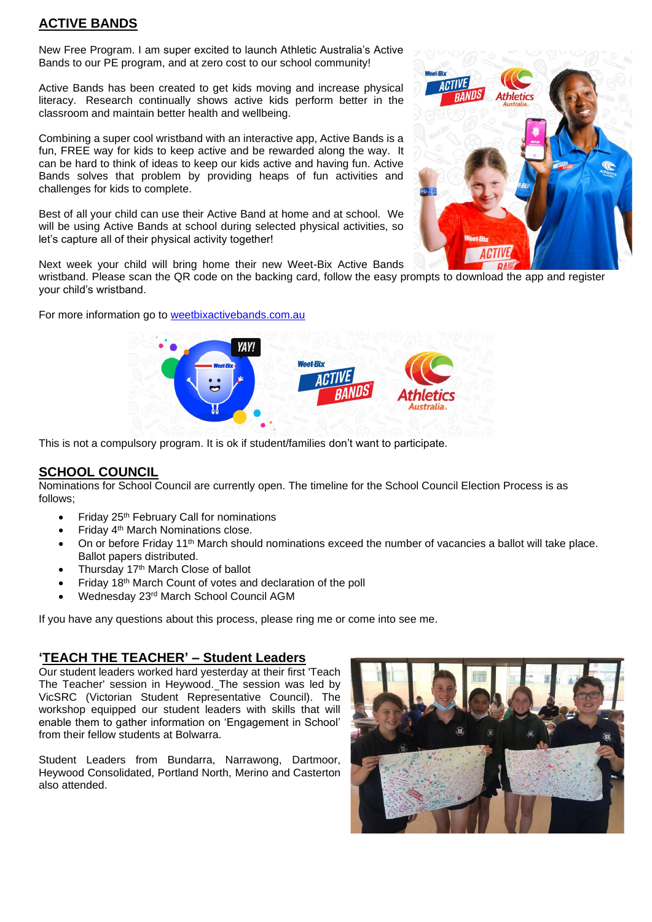#### **ACTIVE BANDS**

New Free Program. I am super excited to launch Athletic Australia's Active Bands to our PE program, and at zero cost to our school community!

Active Bands has been created to get kids moving and increase physical literacy. Research continually shows active kids perform better in the classroom and maintain better health and wellbeing.

Combining a super cool wristband with an interactive app, Active Bands is a fun, FREE way for kids to keep active and be rewarded along the way. It can be hard to think of ideas to keep our kids active and having fun. Active Bands solves that problem by providing heaps of fun activities and challenges for kids to complete.

Best of all your child can use their Active Band at home and at school. We will be using Active Bands at school during selected physical activities, so let's capture all of their physical activity together!



Next week your child will bring home their new Weet-Bix Active Bands

wristband. Please scan the QR code on the backing card, follow the easy prompts to download the app and register your child's wristband.

For more information go to [weetbixactivebands.com.au](https://aus01.safelinks.protection.outlook.com/?url=https%3A%2F%2Fweetbixactivebands.com.au%2F&data=04%7C01%7Clee.gibbons%40education.vic.gov.au%7Cc5bac45081444d82f89e08d9f1125048%7Cd96cb3371a8744cfb69b3cec334a4c1f%7C0%7C0%7C637805884013041438%7CUnknown%7CTWFpbGZsb3d8eyJWIjoiMC4wLjAwMDAiLCJQIjoiV2luMzIiLCJBTiI6Ik1haWwiLCJXVCI6Mn0%3D%7C0&sdata=ZopbExkq7EC%2F41X%2B%2FIIIYxXe2UikSLkM4FDD07vzrLM%3D&reserved=0)



This is not a compulsory program. It is ok if student/families don't want to participate.

#### **SCHOOL COUNCIL**

Nominations for School Council are currently open. The timeline for the School Council Election Process is as follows;

- Friday 25th February Call for nominations
- Friday 4th March Nominations close.
- On or before Friday 11th March should nominations exceed the number of vacancies a ballot will take place. Ballot papers distributed.
- Thursday 17<sup>th</sup> March Close of ballot
- Friday 18th March Count of votes and declaration of the poll
- Wednesday 23rd March School Council AGM

If you have any questions about this process, please ring me or come into see me.

#### **'TEACH THE TEACHER' – Student Leaders**

Our student leaders worked hard yesterday at their first 'Teach The Teacher' session in Heywood. The session was led by VicSRC (Victorian Student Representative Council). The workshop equipped our student leaders with skills that will enable them to gather information on 'Engagement in School' from their fellow students at Bolwarra.

Student Leaders from Bundarra, Narrawong, Dartmoor, Heywood Consolidated, Portland North, Merino and Casterton also attended.

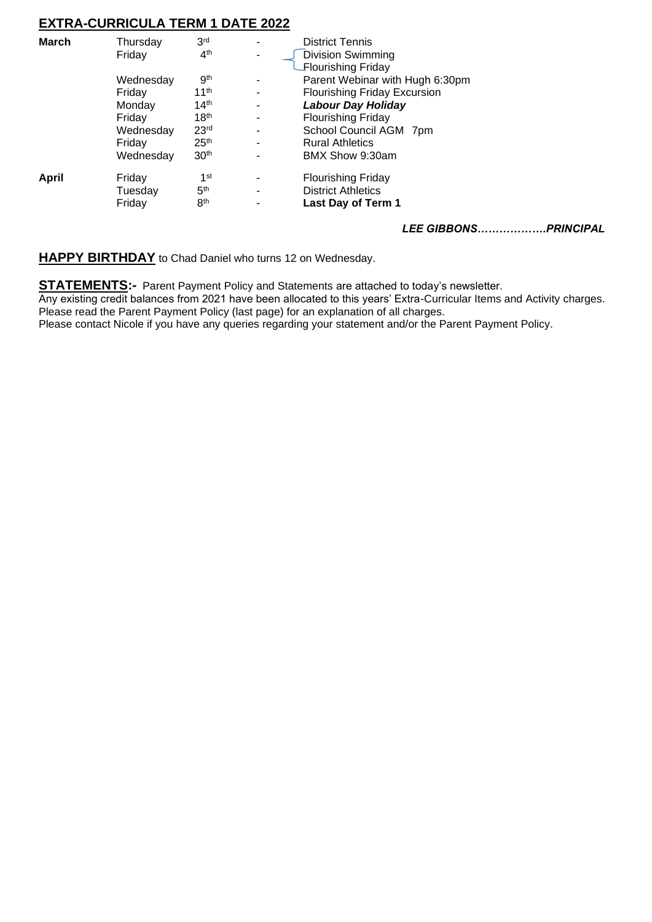#### **EXTRA-CURRICULA TERM 1 DATE 2022**

| <b>March</b> | Thursday  | 3 <sup>rd</sup>  |    | <b>District Tennis</b>              |
|--------------|-----------|------------------|----|-------------------------------------|
|              | Friday    | 4 <sup>th</sup>  | ۰. | Division Swimming                   |
|              |           |                  |    | <b>Flourishing Friday</b>           |
|              | Wednesday | 9 <sup>th</sup>  |    | Parent Webinar with Hugh 6:30pm     |
|              | Friday    | 11 <sup>th</sup> |    | <b>Flourishing Friday Excursion</b> |
|              | Monday    | 14 <sup>th</sup> | ۰  | <b>Labour Day Holiday</b>           |
|              | Friday    | 18 <sup>th</sup> |    | <b>Flourishing Friday</b>           |
|              | Wednesday | 23 <sup>rd</sup> |    | School Council AGM 7pm              |
|              | Friday    | 25 <sup>th</sup> | -  | <b>Rural Athletics</b>              |
|              | Wednesday | 30 <sup>th</sup> |    | BMX Show 9:30am                     |
| April        | Friday    | 1 <sup>st</sup>  |    | <b>Flourishing Friday</b>           |
|              | Tuesdav   | 5 <sup>th</sup>  |    | <b>District Athletics</b>           |
|              | Friday    | 8 <sup>th</sup>  |    | Last Day of Term 1                  |
|              |           |                  |    | <b>LEE GIBBONS</b><br>PRINCIPAL     |

**HAPPY BIRTHDAY** to Chad Daniel who turns 12 on Wednesday.

**STATEMENTS:-** Parent Payment Policy and Statements are attached to today's newsletter. Any existing credit balances from 2021 have been allocated to this years' Extra-Curricular Items and Activity charges. Please read the Parent Payment Policy (last page) for an explanation of all charges. Please contact Nicole if you have any queries regarding your statement and/or the Parent Payment Policy.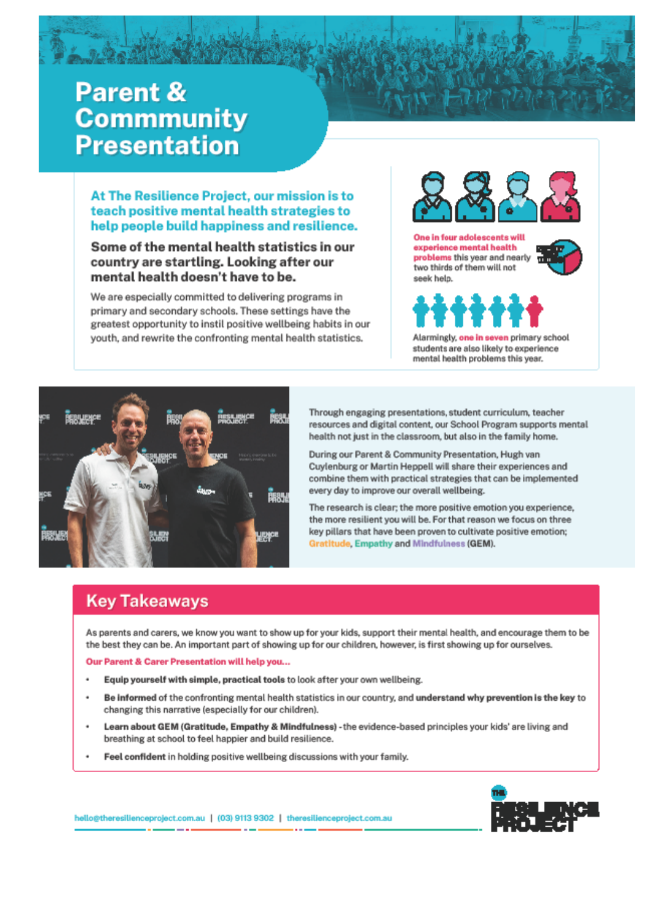# **Parent & Commmunity Presentation**

#### At The Resilience Project, our mission is to teach positive mental health strategies to help people build happiness and resilience.

Some of the mental health statistics in our country are startling. Looking after our mental health doesn't have to be.

We are especially committed to delivering programs in primary and secondary schools. These settings have the greatest opportunity to instil positive wellbeing habits in our youth, and rewrite the confronting mental health statistics.



One in four adolescents will experience mental health problems this year and nearly two thirds of them will not seek help.





Alarmingly, one in seven primary school students are also likely to experience mental health problems this year.



Through engaging presentations, student curriculum, teacher resources and digital content, our School Program supports mental health not just in the classroom, but also in the family home.

During our Parent & Community Presentation, Hugh van Cuylenburg or Martin Heppell will share their experiences and combine them with practical strategies that can be implemented every day to improve our overall wellbeing.

The research is clear; the more positive emotion you experience, the more resilient you will be. For that reason we focus on three key pillars that have been proven to cultivate positive emotion; Gratitude, Empathy and Mindfulness (GEM).

### **Key Takeaways**

As parents and carers, we know you want to show up for your kids, support their mental health, and encourage them to be the best they can be. An important part of showing up for our children, however, is first showing up for ourselves.

Our Parent & Carer Presentation will help you...

- Equip yourself with simple, practical tools to look after your own wellbeing.
- Be informed of the confronting mental health statistics in our country, and understand why prevention is the key to changing this narrative (especially for our children).
- Learn about GEM (Gratitude, Empathy & Mindfulness) the evidence-based principles your kids' are living and breathing at school to feel happier and build resilience.
- Feel confident in holding positive wellbeing discussions with your family.



hello@theresilienceproject.com.au | (03) 9113 9302 | theresilienceproject.com.au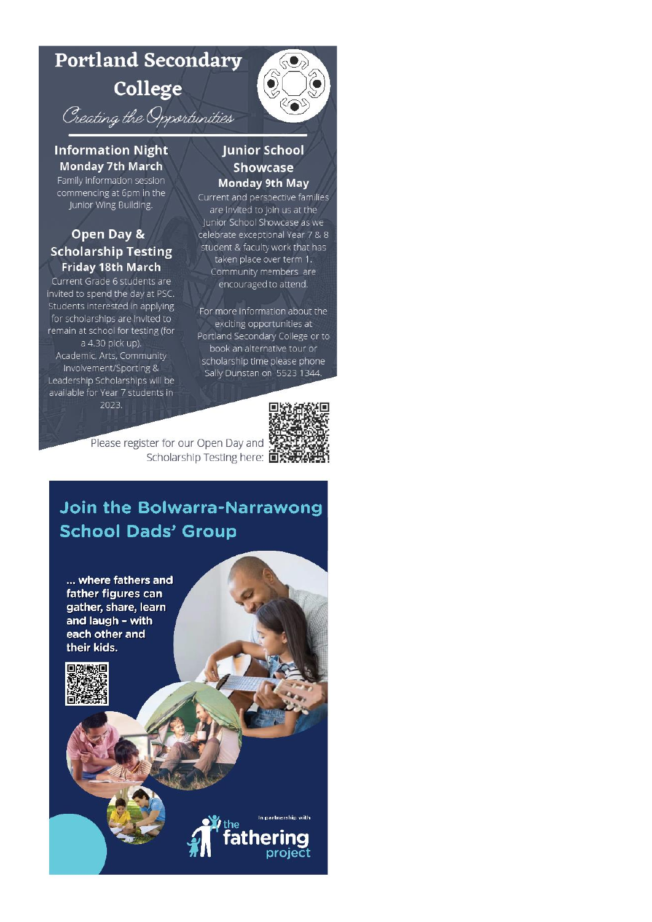# **Portland Secondary**

College

Creating the Opportunities

#### **Information Night Monday 7th March**

Family information session commencing at 6pm in the Junior Wing Building.

#### Open Day & **Scholarship Testing Friday 18th March**

Current Grade 6 students are invited to spend the day at PSC. Students interested in applying for scholarships are invited to remain at school for testing (for a 4.30 pick up). Academic, Arts, Community Involvement/Sporting & Leadership Scholarships will be available for Year 7 students in

2023.

#### **Junior School Showcase Monday 9th May**

 $\hat{\bullet}$ 

Current and perspective families are invited to join us at the Junior School Showcase as we celebrate exceptional Year 7 & 8 student & faculty work that has taken place over term 1. Community members are encouraged to attend.

For more information about the exciting opportunities at Portland Secondary College or to book an alternative tour or scholarship time please phone Sally Dunstan on 5523 1344.



Please register for our Open Day and Scholarship Testing here: **DXW** 

# **Join the Bolwarra-Narrawong School Dads' Group**